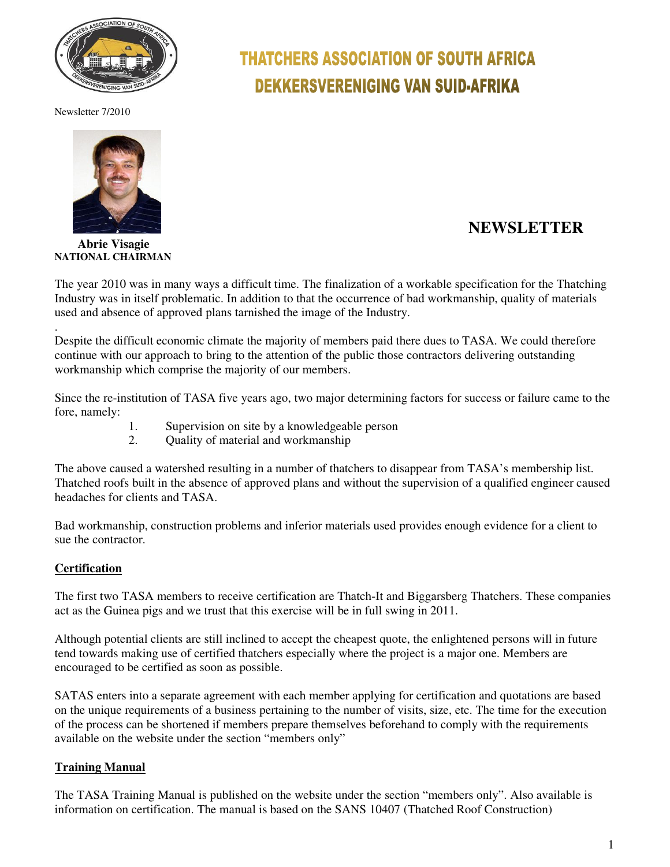

Newsletter 7/2010



#### **Abrie Visagie NATIONAL CHAIRMAN**

# **THATCHERS ASSOCIATION OF SOUTH AFRICA DEKKERSVERENIGING VAN SUID-AFRIKA**

# **NEWSLETTER**

The year 2010 was in many ways a difficult time. The finalization of a workable specification for the Thatching Industry was in itself problematic. In addition to that the occurrence of bad workmanship, quality of materials used and absence of approved plans tarnished the image of the Industry.

. Despite the difficult economic climate the majority of members paid there dues to TASA. We could therefore continue with our approach to bring to the attention of the public those contractors delivering outstanding workmanship which comprise the majority of our members.

Since the re-institution of TASA five years ago, two major determining factors for success or failure came to the fore, namely:

- 1. Supervision on site by a knowledgeable person
- 2. Quality of material and workmanship

The above caused a watershed resulting in a number of thatchers to disappear from TASA's membership list. Thatched roofs built in the absence of approved plans and without the supervision of a qualified engineer caused headaches for clients and TASA.

Bad workmanship, construction problems and inferior materials used provides enough evidence for a client to sue the contractor.

## **Certification**

The first two TASA members to receive certification are Thatch-It and Biggarsberg Thatchers. These companies act as the Guinea pigs and we trust that this exercise will be in full swing in 2011.

Although potential clients are still inclined to accept the cheapest quote, the enlightened persons will in future tend towards making use of certified thatchers especially where the project is a major one. Members are encouraged to be certified as soon as possible.

SATAS enters into a separate agreement with each member applying for certification and quotations are based on the unique requirements of a business pertaining to the number of visits, size, etc. The time for the execution of the process can be shortened if members prepare themselves beforehand to comply with the requirements available on the website under the section "members only"

## **Training Manual**

The TASA Training Manual is published on the website under the section "members only". Also available is information on certification. The manual is based on the SANS 10407 (Thatched Roof Construction)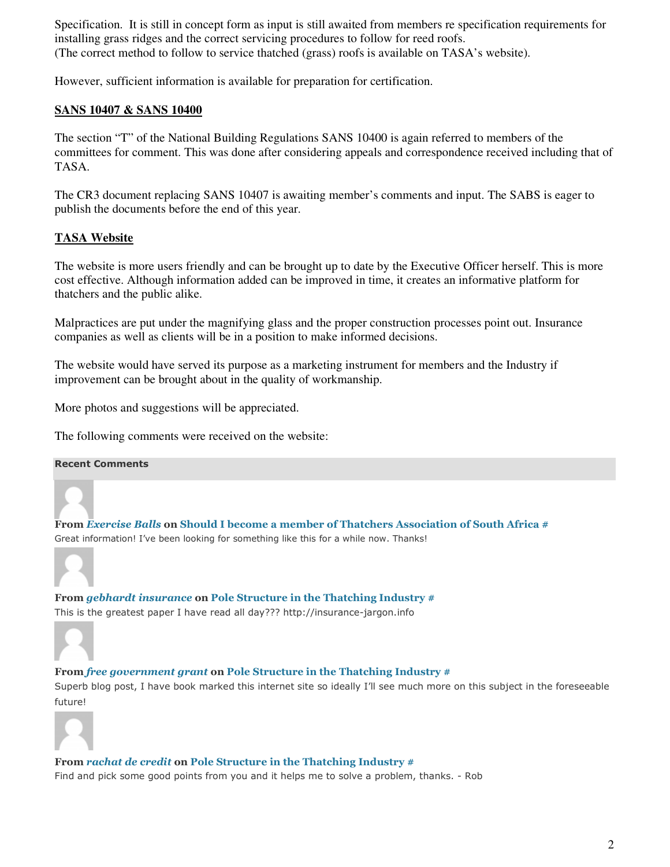Specification. It is still in concept form as input is still awaited from members re specification requirements for installing grass ridges and the correct servicing procedures to follow for reed roofs. (The correct method to follow to service thatched (grass) roofs is available on TASA's website).

However, sufficient information is available for preparation for certification.

#### **SANS 10407 & SANS 10400**

The section "T" of the National Building Regulations SANS 10400 is again referred to members of the committees for comment. This was done after considering appeals and correspondence received including that of TASA.

The CR3 document replacing SANS 10407 is awaiting member's comments and input. The SABS is eager to publish the documents before the end of this year.

#### **TASA Website**

The website is more users friendly and can be brought up to date by the Executive Officer herself. This is more cost effective. Although information added can be improved in time, it creates an informative platform for thatchers and the public alike.

Malpractices are put under the magnifying glass and the proper construction processes point out. Insurance companies as well as clients will be in a position to make informed decisions.

The website would have served its purpose as a marketing instrument for members and the Industry if improvement can be brought about in the quality of workmanship.

More photos and suggestions will be appreciated.

The following comments were received on the website:

#### Recent Comments

From Exercise Balls on Should I become a member of Thatchers Association of South Africa # Great information! I've been looking for something like this for a while now. Thanks!



From *gebhardt insurance* on Pole Structure in the Thatching Industry # This is the greatest paper I have read all day??? http://insurance-jargon.info



From free government grant on Pole Structure in the Thatching Industry #

Superb blog post, I have book marked this internet site so ideally I'll see much more on this subject in the foreseeable future!



From rachat de credit on Pole Structure in the Thatching Industry #

Find and pick some good points from you and it helps me to solve a problem, thanks. - Rob